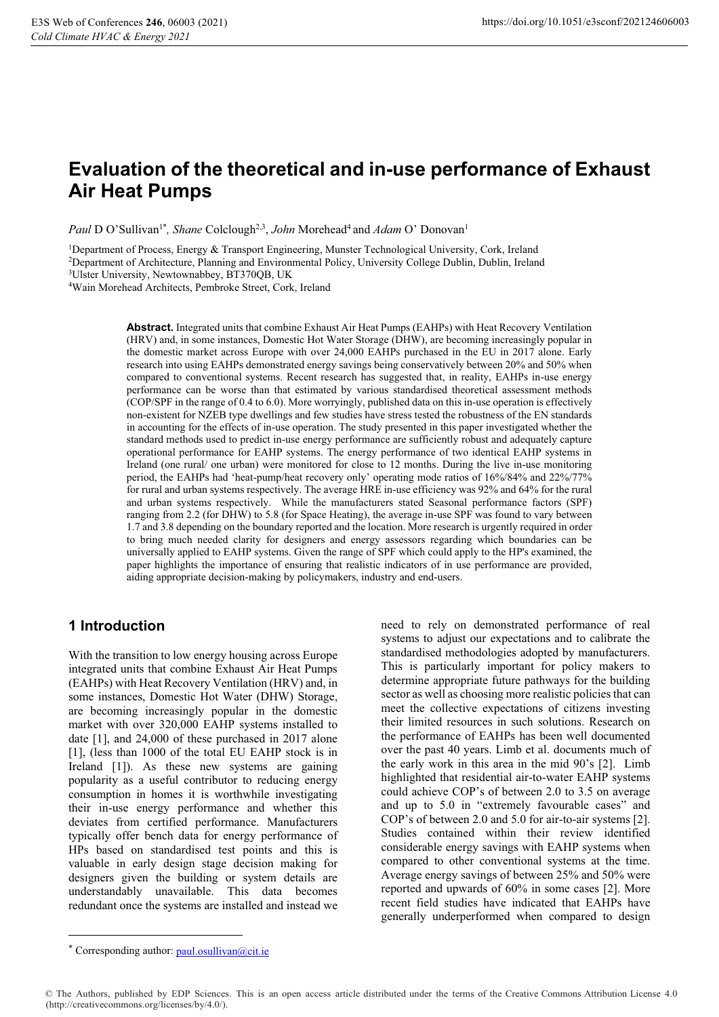# **Evaluation of the theoretical and in-use performance of Exhaust Air Heat Pumps**

*Paul* D O'Sullivan<sup>1\*</sup>, Shane Colclough<sup>2,3</sup>, John Morehead<sup>4</sup> and Adam O' Donovan<sup>1</sup>

1Department of Process, Energy & Transport Engineering, Munster Technological University, Cork, Ireland 2Department of Architecture, Planning and Environmental Policy, University College Dublin, Dublin, Ireland 3Ulster University, Newtownabbey, BT370QB, UK

4Wain Morehead Architects, Pembroke Street, Cork, Ireland

**Abstract.** Integrated units that combine Exhaust Air Heat Pumps (EAHPs) with Heat Recovery Ventilation (HRV) and, in some instances, Domestic Hot Water Storage (DHW), are becoming increasingly popular in the domestic market across Europe with over 24,000 EAHPs purchased in the EU in 2017 alone. Early research into using EAHPs demonstrated energy savings being conservatively between 20% and 50% when compared to conventional systems. Recent research has suggested that, in reality, EAHPs in-use energy performance can be worse than that estimated by various standardised theoretical assessment methods (COP/SPF in the range of 0.4 to 6.0). More worryingly, published data on this in-use operation is effectively non-existent for NZEB type dwellings and few studies have stress tested the robustness of the EN standards in accounting for the effects of in-use operation. The study presented in this paper investigated whether the standard methods used to predict in-use energy performance are sufficiently robust and adequately capture operational performance for EAHP systems. The energy performance of two identical EAHP systems in Ireland (one rural/ one urban) were monitored for close to 12 months. During the live in-use monitoring period, the EAHPs had 'heat-pump/heat recovery only' operating mode ratios of 16%/84% and 22%/77% for rural and urban systems respectively. The average HRE in-use efficiency was 92% and 64% for the rural and urban systems respectively. While the manufacturers stated Seasonal performance factors (SPF) ranging from 2.2 (for DHW) to 5.8 (for Space Heating), the average in-use SPF was found to vary between 1.7 and 3.8 depending on the boundary reported and the location. More research is urgently required in order to bring much needed clarity for designers and energy assessors regarding which boundaries can be universally applied to EAHP systems. Given the range of SPF which could apply to the HP's examined, the paper highlights the importance of ensuring that realistic indicators of in use performance are provided, aiding appropriate decision-making by policymakers, industry and end-users.

# **1 Introduction**

With the transition to low energy housing across Europe integrated units that combine Exhaust Air Heat Pumps (EAHPs) with Heat Recovery Ventilation (HRV) and, in some instances, Domestic Hot Water (DHW) Storage, are becoming increasingly popular in the domestic market with over 320,000 EAHP systems installed to date [1], and 24,000 of these purchased in 2017 alone [1], (less than 1000 of the total EU EAHP stock is in Ireland [1]). As these new systems are gaining popularity as a useful contributor to reducing energy consumption in homes it is worthwhile investigating their in-use energy performance and whether this deviates from certified performance. Manufacturers typically offer bench data for energy performance of HPs based on standardised test points and this is valuable in early design stage decision making for designers given the building or system details are understandably unavailable. This data becomes redundant once the systems are installed and instead we

need to rely on demonstrated performance of real systems to adjust our expectations and to calibrate the standardised methodologies adopted by manufacturers. This is particularly important for policy makers to determine appropriate future pathways for the building sector as well as choosing more realistic policies that can meet the collective expectations of citizens investing their limited resources in such solutions. Research on the performance of EAHPs has been well documented over the past 40 years. Limb et al. documents much of the early work in this area in the mid 90's [2]. Limb highlighted that residential air-to-water EAHP systems could achieve COP's of between 2.0 to 3.5 on average and up to 5.0 in "extremely favourable cases" and COP's of between 2.0 and 5.0 for air-to-air systems [2]. Studies contained within their review identified considerable energy savings with EAHP systems when compared to other conventional systems at the time. Average energy savings of between 25% and 50% were reported and upwards of 60% in some cases [2]. More recent field studies have indicated that EAHPs have generally underperformed when compared to design

l

<sup>\*</sup> Corresponding author: paul.osullivan@cit.ie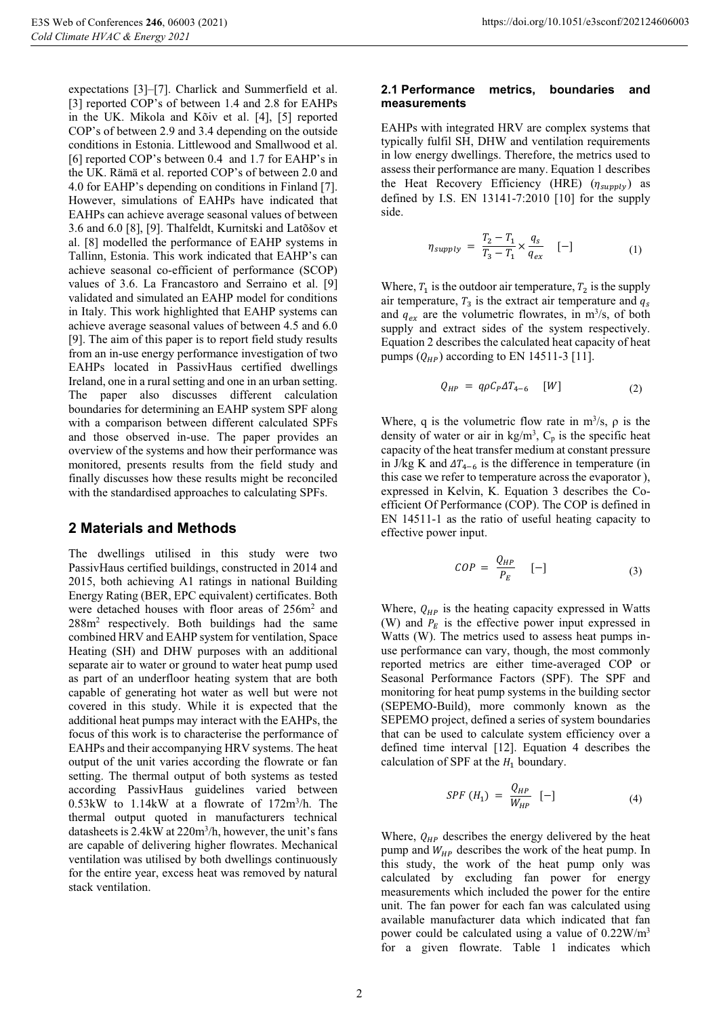expectations [3]–[7]. Charlick and Summerfield et al. [3] reported COP's of between 1.4 and 2.8 for EAHPs in the UK. Mikola and Kõiv et al. [4], [5] reported COP's of between 2.9 and 3.4 depending on the outside conditions in Estonia. Littlewood and Smallwood et al. [6] reported COP's between 0.4 and 1.7 for EAHP's in the UK. Rämä et al. reported COP's of between 2.0 and 4.0 for EAHP's depending on conditions in Finland [7]. However, simulations of EAHPs have indicated that EAHPs can achieve average seasonal values of between 3.6 and 6.0 [8], [9]. Thalfeldt, Kurnitski and Latõšov et al. [8] modelled the performance of EAHP systems in Tallinn, Estonia. This work indicated that EAHP's can achieve seasonal co-efficient of performance (SCOP) values of 3.6. La Francastoro and Serraino et al. [9] validated and simulated an EAHP model for conditions in Italy. This work highlighted that EAHP systems can achieve average seasonal values of between 4.5 and 6.0 [9]. The aim of this paper is to report field study results from an in-use energy performance investigation of two EAHPs located in PassivHaus certified dwellings Ireland, one in a rural setting and one in an urban setting. The paper also discusses different calculation boundaries for determining an EAHP system SPF along with a comparison between different calculated SPFs and those observed in-use. The paper provides an overview of the systems and how their performance was monitored, presents results from the field study and finally discusses how these results might be reconciled with the standardised approaches to calculating SPFs.

## **2 Materials and Methods**

The dwellings utilised in this study were two PassivHaus certified buildings, constructed in 2014 and 2015, both achieving A1 ratings in national Building Energy Rating (BER, EPC equivalent) certificates. Both were detached houses with floor areas of 256m<sup>2</sup> and 288m<sup>2</sup> respectively. Both buildings had the same combined HRV and EAHP system for ventilation, Space Heating (SH) and DHW purposes with an additional separate air to water or ground to water heat pump used as part of an underfloor heating system that are both capable of generating hot water as well but were not covered in this study. While it is expected that the additional heat pumps may interact with the EAHPs, the focus of this work is to characterise the performance of EAHPs and their accompanying HRV systems. The heat output of the unit varies according the flowrate or fan setting. The thermal output of both systems as tested according PassivHaus guidelines varied between  $0.53$ kW to  $1.14$ kW at a flowrate of  $172$ m<sup>3</sup>/h. The thermal output quoted in manufacturers technical datasheets is 2.4kW at 220m3 /h, however, the unit's fans are capable of delivering higher flowrates. Mechanical ventilation was utilised by both dwellings continuously for the entire year, excess heat was removed by natural stack ventilation.

#### **2.1 Performance metrics, boundaries and measurements**

EAHPs with integrated HRV are complex systems that typically fulfil SH, DHW and ventilation requirements in low energy dwellings. Therefore, the metrics used to assess their performance are many. Equation 1 describes the Heat Recovery Efficiency (HRE)  $(\eta_{\text{supply}})$  as defined by I.S. EN 13141-7:2010 [10] for the supply side.

$$
\eta_{supply} = \frac{T_2 - T_1}{T_3 - T_1} \times \frac{q_s}{q_{ex}} \quad [-]
$$
 (1)

Where,  $T_1$  is the outdoor air temperature,  $T_2$  is the supply air temperature,  $T_3$  is the extract air temperature and  $q_5$ and  $q_{ex}$  are the volumetric flowrates, in m<sup>3</sup>/s, of both supply and extract sides of the system respectively. Equation 2 describes the calculated heat capacity of heat pumps  $(Q_{HP})$  according to EN 14511-3 [11].

$$
Q_{HP} = q \rho C_P \Delta T_{4-6} \quad [W] \tag{2}
$$

Where, q is the volumetric flow rate in  $m^3/s$ ,  $\rho$  is the density of water or air in  $\text{kg/m}^3$ ,  $\text{C}_p$  is the specific heat capacity of the heat transfer medium at constant pressure in J/kg K and  $\Delta T_{4-6}$  is the difference in temperature (in this case we refer to temperature across the evaporator ), expressed in Kelvin, K. Equation 3 describes the Coefficient Of Performance (COP). The COP is defined in EN 14511-1 as the ratio of useful heating capacity to effective power input.

$$
COP = \frac{Q_{HP}}{P_E} \quad [-]
$$
 (3)

Where,  $Q_{HP}$  is the heating capacity expressed in Watts (W) and  $P_E$  is the effective power input expressed in Watts (W). The metrics used to assess heat pumps inuse performance can vary, though, the most commonly reported metrics are either time-averaged COP or Seasonal Performance Factors (SPF). The SPF and monitoring for heat pump systems in the building sector (SEPEMO-Build), more commonly known as the SEPEMO project, defined a series of system boundaries that can be used to calculate system efficiency over a defined time interval [12]. Equation 4 describes the calculation of SPF at the  $H_1$  boundary.

$$
SPF(H_1) = \frac{Q_{HP}}{W_{HP}} [-]
$$
 (4)

Where,  $Q_{HP}$  describes the energy delivered by the heat pump and  $W_{HP}$  describes the work of the heat pump. In this study, the work of the heat pump only was calculated by excluding fan power for energy measurements which included the power for the entire unit. The fan power for each fan was calculated using available manufacturer data which indicated that fan power could be calculated using a value of  $0.22 \text{W/m}^3$ for a given flowrate. Table 1 indicates which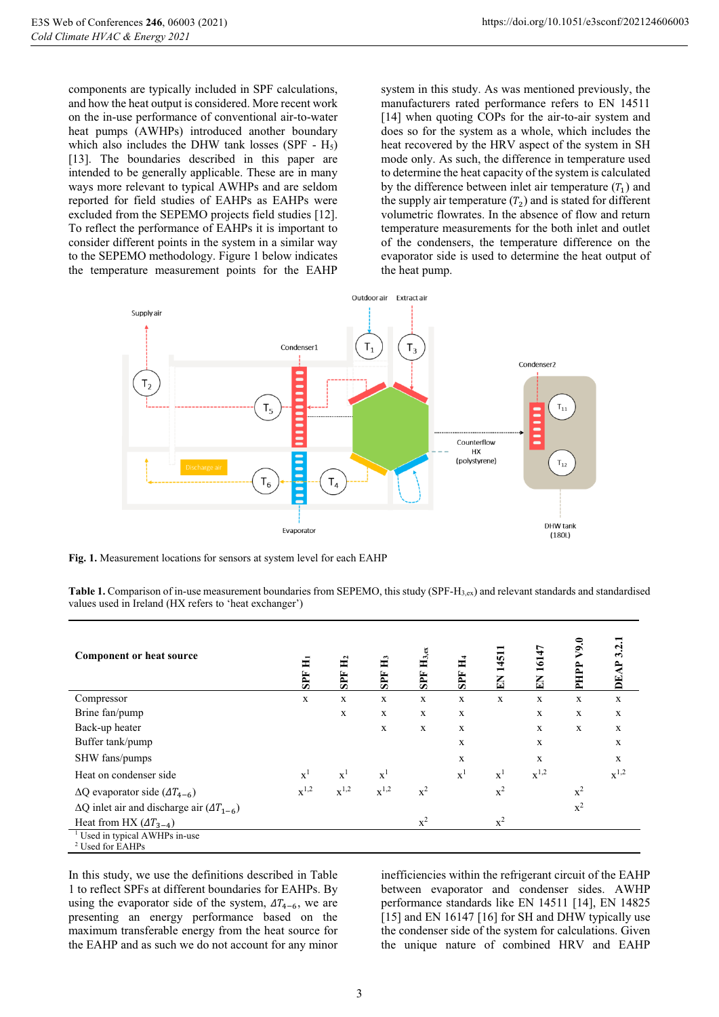components are typically included in SPF calculations, and how the heat output is considered. More recent work on the in-use performance of conventional air-to-water heat pumps (AWHPs) introduced another boundary which also includes the DHW tank losses (SPF -  $H_5$ ) [13]. The boundaries described in this paper are intended to be generally applicable. These are in many ways more relevant to typical AWHPs and are seldom reported for field studies of EAHPs as EAHPs were excluded from the SEPEMO projects field studies [12]. To reflect the performance of EAHPs it is important to consider different points in the system in a similar way to the SEPEMO methodology. Figure 1 below indicates the temperature measurement points for the EAHP

system in this study. As was mentioned previously, the manufacturers rated performance refers to EN 14511 [14] when quoting COPs for the air-to-air system and does so for the system as a whole, which includes the heat recovered by the HRV aspect of the system in SH mode only. As such, the difference in temperature used to determine the heat capacity of the system is calculated by the difference between inlet air temperature  $(T_1)$  and the supply air temperature  $(T_2)$  and is stated for different volumetric flowrates. In the absence of flow and return temperature measurements for the both inlet and outlet of the condensers, the temperature difference on the evaporator side is used to determine the heat output of the heat pump.



**Fig. 1.** Measurement locations for sensors at system level for each EAHP

Table 1. Comparison of in-use measurement boundaries from SEPEMO, this study (SPF-H<sub>3,ex</sub>) and relevant standards and standardised values used in Ireland (HX refers to 'heat exchanger')

| <b>Component or heat source</b>                                          | H<br><b>SPF</b> | <b>SPF</b>     | Ě<br>SPF           | $\mathbf{H}_{3,\mathrm{ex}}$<br>SPF | ਜ਼<br>SPF      | EN 1451        | 16147<br>EN | V9.0<br>PHPP | 3.2<br>DEA  |
|--------------------------------------------------------------------------|-----------------|----------------|--------------------|-------------------------------------|----------------|----------------|-------------|--------------|-------------|
| Compressor                                                               | $\mathbf X$     | $\mathbf x$    | $\mathbf x$        | $\mathbf X$                         | X              | X              | $\mathbf x$ | X            | $\mathbf X$ |
| Brine fan/pump                                                           |                 | $\mathbf x$    | $\mathbf x$        | X                                   | X              |                | $\mathbf x$ | X            | $\mathbf x$ |
| Back-up heater                                                           |                 |                | X                  | X                                   | X              |                | $\mathbf X$ | $\mathbf X$  | $\mathbf X$ |
| Buffer tank/pump                                                         |                 |                |                    |                                     | X              |                | X           |              | X           |
| SHW fans/pumps                                                           |                 |                |                    |                                     | X              |                | $\mathbf X$ |              | $\mathbf X$ |
| Heat on condenser side                                                   | $\mathbf{x}^1$  | $\mathbf{x}^1$ | $\mathbf{x}^1$     |                                     | $\mathbf{x}^1$ | $\mathbf{x}^1$ | $x^{1,2}$   |              | $x^{1,2}$   |
| $\Delta Q$ evaporator side $(\Delta T_{4-6})$                            | $x^{1,2}$       | $x^{1,2}$      | $\mathbf{x}^{1,2}$ | $x^2$                               |                | $x^2$          |             | $x^2$        |             |
| $\Delta Q$ inlet air and discharge air $(\Delta T_{1-6})$                |                 |                |                    |                                     |                |                |             | $x^2$        |             |
| Heat from HX $(\Delta T_{3-4})$                                          |                 |                |                    | $x^2$                               |                | $x^2$          |             |              |             |
| <sup>1</sup> Used in typical AWHPs in-use<br><sup>2</sup> Used for EAHPs |                 |                |                    |                                     |                |                |             |              |             |

In this study, we use the definitions described in Table 1 to reflect SPFs at different boundaries for EAHPs. By using the evaporator side of the system,  $\Delta T_{4-6}$ , we are presenting an energy performance based on the maximum transferable energy from the heat source for the EAHP and as such we do not account for any minor

inefficiencies within the refrigerant circuit of the EAHP between evaporator and condenser sides. AWHP performance standards like EN 14511 [14], EN 14825 [15] and EN 16147 [16] for SH and DHW typically use the condenser side of the system for calculations. Given the unique nature of combined HRV and EAHP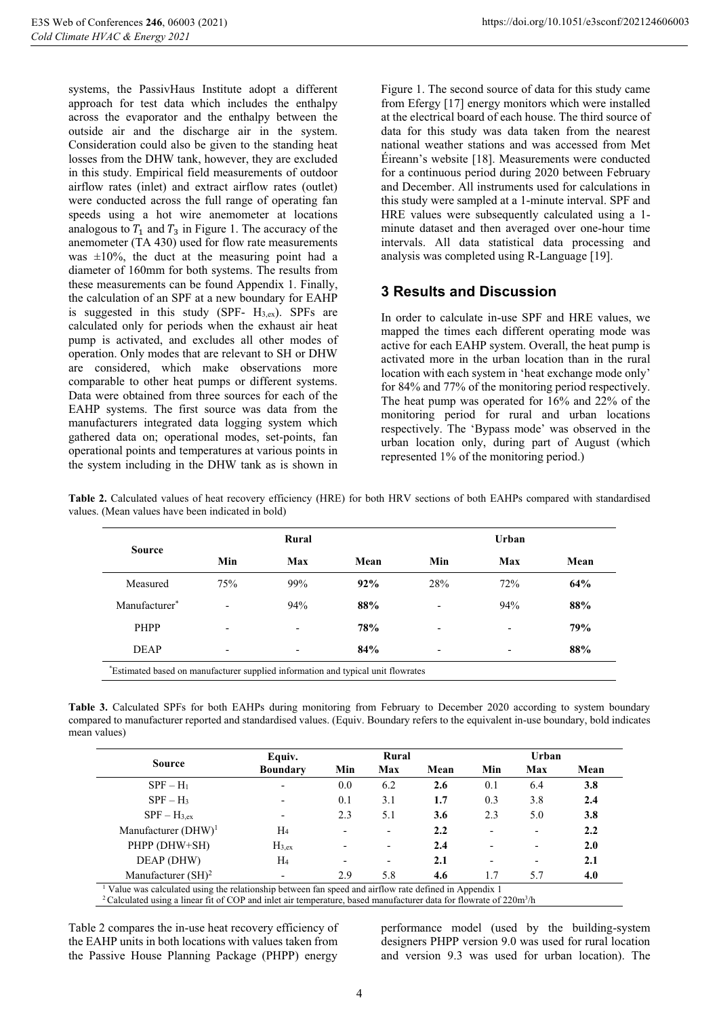systems, the PassivHaus Institute adopt a different approach for test data which includes the enthalpy across the evaporator and the enthalpy between the outside air and the discharge air in the system. Consideration could also be given to the standing heat losses from the DHW tank, however, they are excluded in this study. Empirical field measurements of outdoor airflow rates (inlet) and extract airflow rates (outlet) were conducted across the full range of operating fan speeds using a hot wire anemometer at locations analogous to  $T_1$  and  $T_3$  in Figure 1. The accuracy of the anemometer (TA 430) used for flow rate measurements was  $\pm 10\%$ , the duct at the measuring point had a diameter of 160mm for both systems. The results from these measurements can be found Appendix 1. Finally, the calculation of an SPF at a new boundary for EAHP is suggested in this study (SPF-  $H_{3,ex}$ ). SPFs are calculated only for periods when the exhaust air heat pump is activated, and excludes all other modes of operation. Only modes that are relevant to SH or DHW are considered, which make observations more comparable to other heat pumps or different systems. Data were obtained from three sources for each of the EAHP systems. The first source was data from the manufacturers integrated data logging system which gathered data on; operational modes, set-points, fan operational points and temperatures at various points in the system including in the DHW tank as is shown in

Figure 1. The second source of data for this study came from Efergy [17] energy monitors which were installed at the electrical board of each house. The third source of data for this study was data taken from the nearest national weather stations and was accessed from Met Éireann's website [18]. Measurements were conducted for a continuous period during 2020 between February and December. All instruments used for calculations in this study were sampled at a 1-minute interval. SPF and HRE values were subsequently calculated using a 1 minute dataset and then averaged over one-hour time intervals. All data statistical data processing and analysis was completed using R-Language [19].

## **3 Results and Discussion**

In order to calculate in-use SPF and HRE values, we mapped the times each different operating mode was active for each EAHP system. Overall, the heat pump is activated more in the urban location than in the rural location with each system in 'heat exchange mode only' for 84% and 77% of the monitoring period respectively. The heat pump was operated for 16% and 22% of the monitoring period for rural and urban locations respectively. The 'Bypass mode' was observed in the urban location only, during part of August (which represented 1% of the monitoring period.)

| <b>Source</b>             |                          | Rural                    |      |                          | Urban                    |      |
|---------------------------|--------------------------|--------------------------|------|--------------------------|--------------------------|------|
|                           | Min                      | Max                      | Mean | Min                      | Max                      | Mean |
| Measured                  | 75%                      | 99%                      | 92%  | 28%                      | 72%                      | 64%  |
| Manufacturer <sup>*</sup> | -                        | 94%                      | 88%  |                          | 94%                      | 88%  |
| PHPP                      | $\overline{\phantom{a}}$ | $\overline{\phantom{a}}$ | 78%  | $\overline{\phantom{a}}$ | $\overline{\phantom{a}}$ | 79%  |
| <b>DEAP</b>               | $\overline{\phantom{a}}$ | $\overline{\phantom{a}}$ | 84%  | $\overline{\phantom{a}}$ | $\overline{\phantom{a}}$ | 88%  |

**Table 2.** Calculated values of heat recovery efficiency (HRE) for both HRV sections of both EAHPs compared with standardised values. (Mean values have been indicated in bold)

**Table 3.** Calculated SPFs for both EAHPs during monitoring from February to December 2020 according to system boundary compared to manufacturer reported and standardised values. (Equiv. Boundary refers to the equivalent in-use boundary, bold indicates mean values)

|                        | Equiv.          | Rural |                          |      | Urban |     |      |
|------------------------|-----------------|-------|--------------------------|------|-------|-----|------|
| <b>Source</b>          | <b>Boundary</b> | Min   | Max                      | Mean | Min   | Max | Mean |
| $SPF - H_1$            |                 | 0.0   | 6.2                      | 2.6  | 0.1   | 6.4 | 3.8  |
| $SPF-H_3$              |                 | 0.1   | 3.1                      | 1.7  | 0.3   | 3.8 | 2.4  |
| $SPF-H_{3.ex}$         |                 | 2.3   | 5.1                      | 3.6  | 2.3   | 5.0 | 3.8  |
| Manufacturer $(DHW)^1$ | H4              |       | $\overline{\phantom{0}}$ | 2.2  |       |     | 2.2  |
| PHPP (DHW+SH)          | $H_{3,ex}$      |       | -                        | 2.4  |       |     | 2.0  |
| DEAP (DHW)             | $H_4$           |       | $\overline{\phantom{a}}$ | 2.1  |       |     | 2.1  |
| Manufacturer $(SH)^2$  |                 | 2.9   | 5.8                      | 4.6  | 1.7   | 5.7 | 4.0  |

Table 2 compares the in-use heat recovery efficiency of the EAHP units in both locations with values taken from the Passive House Planning Package (PHPP) energy

performance model (used by the building-system designers PHPP version 9.0 was used for rural location and version 9.3 was used for urban location). The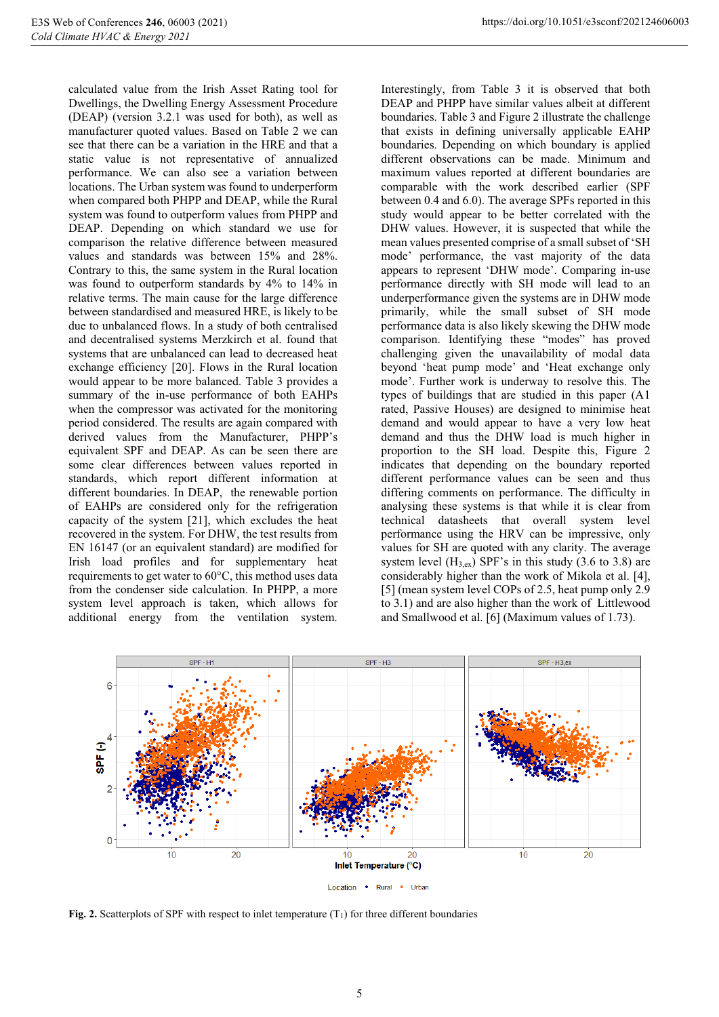calculated value from the Irish Asset Rating tool for Dwellings, the Dwelling Energy Assessment Procedure (DEAP) (version 3.2.1 was used for both), as well as manufacturer quoted values. Based on Table 2 we can see that there can be a variation in the HRE and that a static value is not representative of annualized performance. We can also see a variation between locations. The Urban system was found to underperform when compared both PHPP and DEAP, while the Rural system was found to outperform values from PHPP and DEAP. Depending on which standard we use for comparison the relative difference between measured values and standards was between 15% and 28%. Contrary to this, the same system in the Rural location was found to outperform standards by 4% to 14% in relative terms. The main cause for the large difference between standardised and measured HRE, is likely to be due to unbalanced flows. In a study of both centralised and decentralised systems Merzkirch et al. found that systems that are unbalanced can lead to decreased heat exchange efficiency [20]. Flows in the Rural location would appear to be more balanced. Table 3 provides a summary of the in-use performance of both EAHPs when the compressor was activated for the monitoring period considered. The results are again compared with derived values from the Manufacturer, PHPP's equivalent SPF and DEAP. As can be seen there are some clear differences between values reported in standards, which report different information at different boundaries. In DEAP, the renewable portion of EAHPs are considered only for the refrigeration capacity of the system [21], which excludes the heat recovered in the system. For DHW, the test results from EN 16147 (or an equivalent standard) are modified for Irish load profiles and for supplementary heat requirements to get water to 60°C, this method uses data

from the condenser side calculation. In PHPP, a more system level approach is taken, which allows for additional energy from the ventilation system.

Interestingly, from Table 3 it is observed that both DEAP and PHPP have similar values albeit at different boundaries. Table 3 and Figure 2 illustrate the challenge that exists in defining universally applicable EAHP boundaries. Depending on which boundary is applied different observations can be made. Minimum and maximum values reported at different boundaries are comparable with the work described earlier (SPF between 0.4 and 6.0). The average SPFs reported in this study would appear to be better correlated with the DHW values. However, it is suspected that while the mean values presented comprise of a small subset of 'SH mode' performance, the vast majority of the data appears to represent 'DHW mode'. Comparing in-use performance directly with SH mode will lead to an underperformance given the systems are in DHW mode primarily, while the small subset of SH mode performance data is also likely skewing the DHW mode comparison. Identifying these "modes" has proved challenging given the unavailability of modal data beyond 'heat pump mode' and 'Heat exchange only mode'. Further work is underway to resolve this. The types of buildings that are studied in this paper (A1 rated, Passive Houses) are designed to minimise heat demand and would appear to have a very low heat demand and thus the DHW load is much higher in proportion to the SH load. Despite this, Figure 2 indicates that depending on the boundary reported different performance values can be seen and thus differing comments on performance. The difficulty in analysing these systems is that while it is clear from technical datasheets that overall system level performance using the HRV can be impressive, only values for SH are quoted with any clarity. The average system level  $(H_{3,ex})$  SPF's in this study (3.6 to 3.8) are considerably higher than the work of Mikola et al. [4], [5] (mean system level COPs of 2.5, heat pump only 2.9 to 3.1) and are also higher than the work of Littlewood and Smallwood et al. [6] (Maximum values of 1.73).



**Fig. 2.** Scatterplots of SPF with respect to inlet temperature  $(T_1)$  for three different boundaries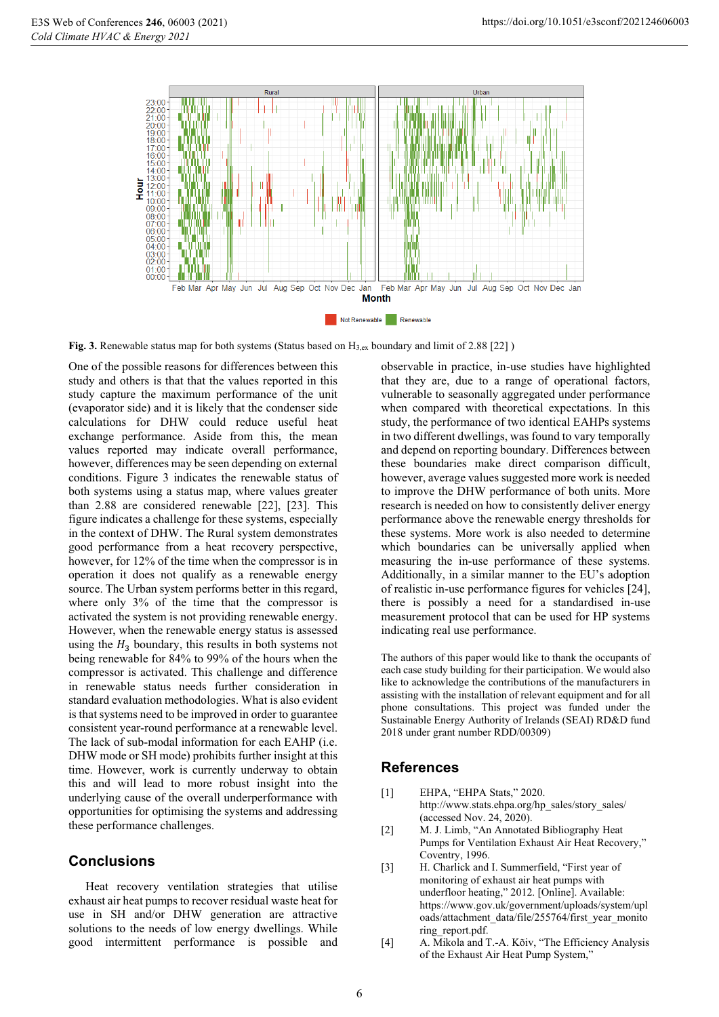

**Fig. 3.** Renewable status map for both systems (Status based on H<sub>3,ex</sub> boundary and limit of 2.88 [22] )

One of the possible reasons for differences between this study and others is that that the values reported in this study capture the maximum performance of the unit (evaporator side) and it is likely that the condenser side calculations for DHW could reduce useful heat exchange performance. Aside from this, the mean values reported may indicate overall performance, however, differences may be seen depending on external conditions. Figure 3 indicates the renewable status of both systems using a status map, where values greater than 2.88 are considered renewable [22], [23]. This figure indicates a challenge for these systems, especially in the context of DHW. The Rural system demonstrates good performance from a heat recovery perspective, however, for 12% of the time when the compressor is in operation it does not qualify as a renewable energy source. The Urban system performs better in this regard, where only 3% of the time that the compressor is activated the system is not providing renewable energy. However, when the renewable energy status is assessed using the  $H_3$  boundary, this results in both systems not being renewable for 84% to 99% of the hours when the compressor is activated. This challenge and difference in renewable status needs further consideration in standard evaluation methodologies. What is also evident is that systems need to be improved in order to guarantee consistent year-round performance at a renewable level. The lack of sub-modal information for each EAHP (i.e. DHW mode or SH mode) prohibits further insight at this time. However, work is currently underway to obtain this and will lead to more robust insight into the underlying cause of the overall underperformance with opportunities for optimising the systems and addressing these performance challenges.

## **Conclusions**

Heat recovery ventilation strategies that utilise exhaust air heat pumps to recover residual waste heat for use in SH and/or DHW generation are attractive solutions to the needs of low energy dwellings. While good intermittent performance is possible and

observable in practice, in-use studies have highlighted that they are, due to a range of operational factors, vulnerable to seasonally aggregated under performance when compared with theoretical expectations. In this study, the performance of two identical EAHPs systems in two different dwellings, was found to vary temporally and depend on reporting boundary. Differences between these boundaries make direct comparison difficult, however, average values suggested more work is needed to improve the DHW performance of both units. More research is needed on how to consistently deliver energy performance above the renewable energy thresholds for these systems. More work is also needed to determine which boundaries can be universally applied when measuring the in-use performance of these systems. Additionally, in a similar manner to the EU's adoption of realistic in-use performance figures for vehicles [24], there is possibly a need for a standardised in-use measurement protocol that can be used for HP systems indicating real use performance.

The authors of this paper would like to thank the occupants of each case study building for their participation. We would also like to acknowledge the contributions of the manufacturers in assisting with the installation of relevant equipment and for all phone consultations. This project was funded under the Sustainable Energy Authority of Irelands (SEAI) RD&D fund 2018 under grant number RDD/00309)

## **References**

- [1] EHPA, "EHPA Stats," 2020. http://www.stats.ehpa.org/hp\_sales/story\_sales/ (accessed Nov. 24, 2020).
- [2] M. J. Limb, "An Annotated Bibliography Heat Pumps for Ventilation Exhaust Air Heat Recovery," Coventry, 1996.
- [3] H. Charlick and I. Summerfield, "First year of monitoring of exhaust air heat pumps with underfloor heating," 2012. [Online]. Available: https://www.gov.uk/government/uploads/system/upl oads/attachment\_data/file/255764/first\_year\_monito ring\_report.pdf.
- [4] A. Mikola and T.-A. Kõiv, "The Efficiency Analysis of the Exhaust Air Heat Pump System,"